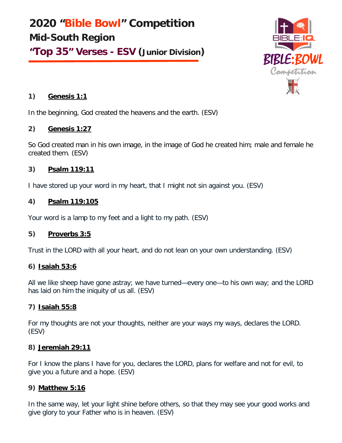**2020 "Bible Bowl" Competition Mid-South Region "Top 35" Verses - ESV (Junior Division)**



## **1) Genesis 1:1**

In the beginning, God created the heavens and the earth. (ESV)

### **2) Genesis 1:27**

So God created man in his own image, in the image of God he created him; male and female he created them. (ESV)

# **3) Psalm 119:11**

I have stored up your word in my heart, that I might not sin against you. (ESV)

# **4) Psalm 119:105**

Your word is a lamp to my feet and a light to my path. (ESV)

# **5) Proverbs 3:5**

Trust in the LORD with all your heart, and do not lean on your own understanding. (ESV)

# **6) Isaiah 53:6**

All we like sheep have gone astray; we have turned—every one—to his own way; and the LORD has laid on him the iniquity of us all. (ESV)

# **7) Isaiah 55:8**

For my thoughts are not your thoughts, neither are your ways my ways, declares the LORD. (ESV)

### **8) Jeremiah 29:11**

For I know the plans I have for you, declares the LORD, plans for welfare and not for evil, to give you a future and a hope. (ESV)

### **9) Matthew 5:16**

In the same way, let your light shine before others, so that they may see your good works and give glory to your Father who is in heaven. (ESV)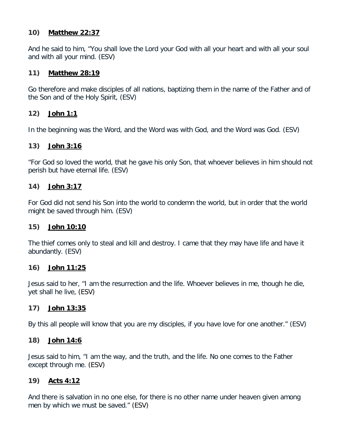#### **10) Matthew 22:37**

And he said to him, "You shall love the Lord your God with all your heart and with all your soul and with all your mind. (ESV)

### **11) Matthew 28:19**

Go therefore and make disciples of all nations, baptizing them in the name of the Father and of the Son and of the Holy Spirit, (ESV)

### **12) John 1:1**

In the beginning was the Word, and the Word was with God, and the Word was God. (ESV)

### **13) John 3:16**

"For God so loved the world, that he gave his only Son, that whoever believes in him should not perish but have eternal life. (ESV)

### **14) John 3:17**

For God did not send his Son into the world to condemn the world, but in order that the world might be saved through him. (ESV)

#### **15) John 10:10**

The thief comes only to steal and kill and destroy. I came that they may have life and have it abundantly. (ESV)

#### **16) John 11:25**

Jesus said to her, "I am the resurrection and the life. Whoever believes in me, though he die, yet shall he live, (ESV)

#### **17) John 13:35**

By this all people will know that you are my disciples, if you have love for one another." (ESV)

#### **18) John 14:6**

Jesus said to him, "I am the way, and the truth, and the life. No one comes to the Father except through me. (ESV)

#### **19) Acts 4:12**

And there is salvation in no one else, for there is no other name under heaven given among men by which we must be saved." (ESV)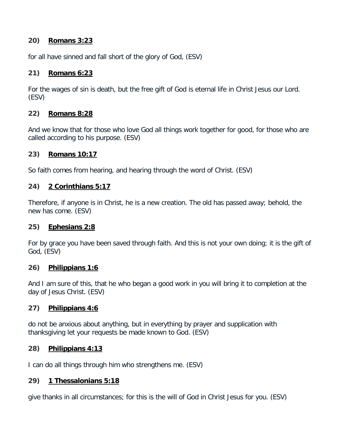### **20) Romans 3:23**

for all have sinned and fall short of the glory of God, (ESV)

### **21) Romans 6:23**

For the wages of sin is death, but the free gift of God is eternal life in Christ Jesus our Lord. (ESV)

### **22) Romans 8:28**

And we know that for those who love God all things work together for good, for those who are called according to his purpose. (ESV)

### **23) Romans 10:17**

So faith comes from hearing, and hearing through the word of Christ. (ESV)

### **24) 2 Corinthians 5:17**

Therefore, if anyone is in Christ, he is a new creation. The old has passed away; behold, the new has come. (ESV)

#### **25) Ephesians 2:8**

For by grace you have been saved through faith. And this is not your own doing; it is the gift of God, (ESV)

#### **26) Philippians 1:6**

And I am sure of this, that he who began a good work in you will bring it to completion at the day of Jesus Christ. (ESV)

### **27) Philippians 4:6**

do not be anxious about anything, but in everything by prayer and supplication with thanksgiving let your requests be made known to God. (ESV)

#### **28) Philippians 4:13**

I can do all things through him who strengthens me. (ESV)

#### **29) 1 Thessalonians 5:18**

give thanks in all circumstances; for this is the will of God in Christ Jesus for you. (ESV)